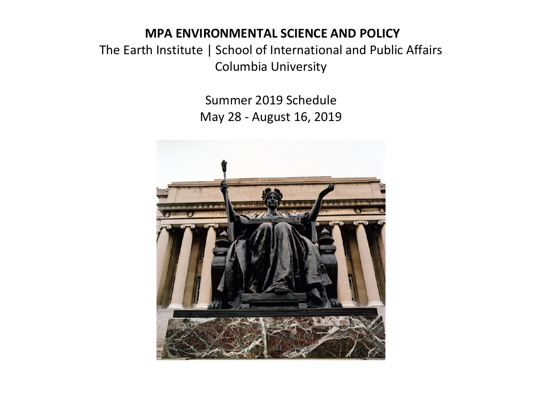## **MPA ENVIRONMENTAL SCIENCE AND POLICY**

The Earth Institute | School of International and Public Affairs Columbia University

> Summer 2019 Schedule May 28 - August 16, 2019

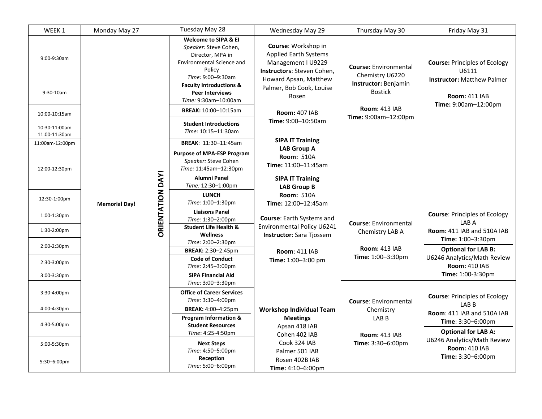| WEEK <sub>1</sub>              | Monday May 27        |                         | Tuesday May 28                                                                                                                                                                                                                          | Wednesday May 29                                                                                                                                                      | Thursday May 30                                                                           | Friday May 31                                                                                              |
|--------------------------------|----------------------|-------------------------|-----------------------------------------------------------------------------------------------------------------------------------------------------------------------------------------------------------------------------------------|-----------------------------------------------------------------------------------------------------------------------------------------------------------------------|-------------------------------------------------------------------------------------------|------------------------------------------------------------------------------------------------------------|
| 9:00-9:30am<br>$9:30-10am$     |                      |                         | <b>Welcome to SIPA &amp; EI</b><br>Speaker: Steve Cohen,<br>Director, MPA in<br><b>Environmental Science and</b><br>Policy<br>Time: 9:00-9:30am<br><b>Faculty Introductions &amp;</b><br><b>Peer Interviews</b><br>Time: 9:30am-10:00am | Course: Workshop in<br><b>Applied Earth Systems</b><br>Management I U9229<br>Instructors: Steven Cohen,<br>Howard Apsan, Matthew<br>Palmer, Bob Cook, Louise<br>Rosen | <b>Course: Environmental</b><br>Chemistry U6220<br>Instructor: Benjamin<br><b>Bostick</b> | <b>Course: Principles of Ecology</b><br>U6111<br><b>Instructor: Matthew Palmer</b><br><b>Room: 411 IAB</b> |
| 10:00-10:15am                  |                      |                         | BREAK: 10:00-10:15am                                                                                                                                                                                                                    | <b>Room: 407 IAB</b>                                                                                                                                                  | <b>Room: 413 IAB</b><br>Time: 9:00am-12:00pm                                              | Time: 9:00am-12:00pm                                                                                       |
| 10:30-11:00am<br>11:00-11:30am |                      |                         | <b>Student Introductions</b><br>Time: 10:15-11:30am                                                                                                                                                                                     | Time: 9:00-10:50am                                                                                                                                                    |                                                                                           |                                                                                                            |
| 11:00am-12:00pm                |                      |                         | BREAK: 11:30-11:45am                                                                                                                                                                                                                    | <b>SIPA IT Training</b>                                                                                                                                               |                                                                                           |                                                                                                            |
| 12:00-12:30pm                  |                      |                         | <b>Purpose of MPA-ESP Program</b><br>Speaker: Steve Cohen<br>Time: 11:45am-12:30pm                                                                                                                                                      | <b>LAB Group A</b><br><b>Room: 510A</b><br>Time: 11:00-11:45am                                                                                                        |                                                                                           |                                                                                                            |
|                                |                      |                         | <b>Alumni Panel</b><br>Time: 12:30-1:00pm                                                                                                                                                                                               | <b>SIPA IT Training</b><br><b>LAB Group B</b>                                                                                                                         |                                                                                           |                                                                                                            |
| 12:30-1:00pm                   | <b>Memorial Day!</b> | <b>ORIENTATION DAY!</b> | <b>LUNCH</b><br>Time: 1:00-1:30pm                                                                                                                                                                                                       | <b>Room: 510A</b><br>Time: 12:00-12:45am                                                                                                                              |                                                                                           |                                                                                                            |
| 1:00-1:30pm                    |                      |                         | <b>Liaisons Panel</b><br>Time: 1:30-2:00pm                                                                                                                                                                                              | Course: Earth Systems and                                                                                                                                             | <b>Course: Environmental</b>                                                              | <b>Course: Principles of Ecology</b><br>LAB A                                                              |
| 1:30-2:00pm                    |                      |                         | <b>Student Life Health &amp;</b><br>Wellness                                                                                                                                                                                            | <b>Environmental Policy U6241</b><br>Instructor: Sara Tjossem                                                                                                         | Chemistry LAB A                                                                           | Room: 411 IAB and 510A IAB<br>Time: 1:00-3:30pm                                                            |
| 2:00-2:30pm                    |                      |                         | Time: 2:00-2:30pm<br>BREAK: 2:30-2:45pm                                                                                                                                                                                                 | <b>Room: 411 IAB</b>                                                                                                                                                  | <b>Room: 413 IAB</b>                                                                      | <b>Optional for LAB B:</b>                                                                                 |
| 2:30-3:00pm                    |                      |                         | <b>Code of Conduct</b><br>Time: 2:45-3:00pm                                                                                                                                                                                             | Time: 1:00-3:00 pm                                                                                                                                                    | Time: 1:00-3:30pm                                                                         | U6246 Analytics/Math Review<br><b>Room: 410 IAB</b>                                                        |
| 3:00-3:30pm                    |                      |                         | <b>SIPA Financial Aid</b>                                                                                                                                                                                                               |                                                                                                                                                                       |                                                                                           | Time: 1:00-3:30pm                                                                                          |
| 3:30-4:00pm                    |                      |                         | Time: 3:00-3:30pm<br><b>Office of Career Services</b><br>Time: 3:30-4:00pm                                                                                                                                                              |                                                                                                                                                                       | <b>Course: Environmental</b>                                                              | <b>Course: Principles of Ecology</b>                                                                       |
| 4:00-4:30pm                    |                      |                         | BREAK: 4:00-4:25pm                                                                                                                                                                                                                      | <b>Workshop Individual Team</b>                                                                                                                                       | Chemistry                                                                                 | LAB <sub>B</sub><br>Room: 411 IAB and 510A IAB                                                             |
| 4:30-5:00pm                    |                      |                         | <b>Program Information &amp;</b><br><b>Student Resources</b><br>Time: 4:25-4:50pm                                                                                                                                                       | <b>Meetings</b><br>Apsan 418 IAB<br>Cohen 402 IAB                                                                                                                     | LAB <sub>B</sub><br><b>Room: 413 IAB</b>                                                  | <b>Time:</b> $3:30-6:00 \text{pm}$<br><b>Optional for LAB A:</b>                                           |
| 5:00-5:30pm                    |                      |                         | <b>Next Steps</b><br>Time: 4:50-5:00pm                                                                                                                                                                                                  | Cook 324 IAB<br>Palmer 501 IAB                                                                                                                                        | Time: 3:30-6:00pm                                                                         | U6246 Analytics/Math Review<br><b>Room: 410 IAB</b>                                                        |
| 5:30-6:00pm                    |                      |                         | Reception<br>Time: 5:00-6:00pm                                                                                                                                                                                                          | Rosen 402B IAB<br>Time: 4:10-6:00pm                                                                                                                                   |                                                                                           | Time: 3:30-6:00pm                                                                                          |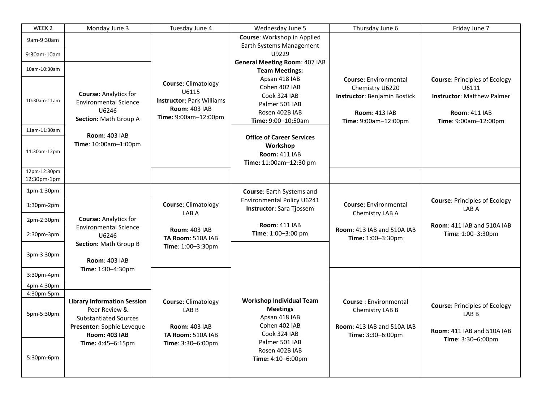| WEEK <sub>2</sub> | Monday June 3                                                                                                                            | Tuesday June 4                                                                                                          | Wednesday June 5                                                                                         | Thursday June 6                                                                                                                 | Friday June 7                                                                                                                      |
|-------------------|------------------------------------------------------------------------------------------------------------------------------------------|-------------------------------------------------------------------------------------------------------------------------|----------------------------------------------------------------------------------------------------------|---------------------------------------------------------------------------------------------------------------------------------|------------------------------------------------------------------------------------------------------------------------------------|
| 9am-9:30am        |                                                                                                                                          |                                                                                                                         | Course: Workshop in Applied                                                                              |                                                                                                                                 |                                                                                                                                    |
| 9:30am-10am       |                                                                                                                                          |                                                                                                                         | Earth Systems Management<br>U9229                                                                        |                                                                                                                                 |                                                                                                                                    |
|                   |                                                                                                                                          |                                                                                                                         | <b>General Meeting Room: 407 IAB</b>                                                                     |                                                                                                                                 |                                                                                                                                    |
| 10am-10:30am      |                                                                                                                                          |                                                                                                                         | <b>Team Meetings:</b>                                                                                    |                                                                                                                                 |                                                                                                                                    |
| 10:30am-11am      | <b>Course: Analytics for</b><br><b>Environmental Science</b><br>U6246<br>Section: Math Group A                                           | <b>Course: Climatology</b><br>U6115<br><b>Instructor: Park Williams</b><br><b>Room: 403 IAB</b><br>Time: 9:00am-12:00pm | Apsan 418 IAB<br>Cohen 402 IAB<br>Cook 324 IAB<br>Palmer 501 IAB<br>Rosen 402B IAB<br>Time: 9:00-10:50am | <b>Course: Environmental</b><br>Chemistry U6220<br>Instructor: Benjamin Bostick<br><b>Room: 413 IAB</b><br>Time: 9:00am-12:00pm | <b>Course: Principles of Ecology</b><br>U6111<br><b>Instructor: Matthew Palmer</b><br><b>Room: 411 IAB</b><br>Time: 9:00am-12:00pm |
| 11am-11:30am      |                                                                                                                                          |                                                                                                                         |                                                                                                          |                                                                                                                                 |                                                                                                                                    |
| 11:30am-12pm      | <b>Room: 403 IAB</b><br>Time: 10:00am-1:00pm                                                                                             |                                                                                                                         | <b>Office of Career Services</b><br>Workshop<br><b>Room: 411 IAB</b><br>Time: 11:00am-12:30 pm           |                                                                                                                                 |                                                                                                                                    |
| 12pm-12:30pm      |                                                                                                                                          |                                                                                                                         |                                                                                                          |                                                                                                                                 |                                                                                                                                    |
| 12:30pm-1pm       |                                                                                                                                          |                                                                                                                         |                                                                                                          |                                                                                                                                 |                                                                                                                                    |
| 1pm-1:30pm        |                                                                                                                                          |                                                                                                                         | Course: Earth Systems and                                                                                |                                                                                                                                 |                                                                                                                                    |
| $1:30pm-2pm$      |                                                                                                                                          | <b>Course: Climatology</b><br>LAB A                                                                                     | Environmental Policy U6241<br><b>Instructor:</b> Sara Tjossem                                            | <b>Course: Environmental</b><br>Chemistry LAB A                                                                                 | <b>Course: Principles of Ecology</b><br>LAB A                                                                                      |
| 2pm-2:30pm        | <b>Course: Analytics for</b>                                                                                                             |                                                                                                                         | <b>Room: 411 IAB</b>                                                                                     |                                                                                                                                 | <b>Room: 411 IAB and 510A IAB</b>                                                                                                  |
| $2:30pm-3pm$      | <b>Environmental Science</b><br>U6246                                                                                                    | <b>Room: 403 IAB</b><br>TA Room: 510A IAB                                                                               | Time: 1:00-3:00 pm                                                                                       | <b>Room: 413 IAB and 510A IAB</b><br>Time: 1:00-3:30pm                                                                          | Time: 1:00-3:30pm                                                                                                                  |
| 3pm-3:30pm        | Section: Math Group B<br><b>Room: 403 IAB</b><br>Time: 1:30-4:30pm                                                                       | Time: 1:00-3:30pm                                                                                                       |                                                                                                          |                                                                                                                                 |                                                                                                                                    |
| $3:30$ pm-4pm     |                                                                                                                                          |                                                                                                                         |                                                                                                          |                                                                                                                                 |                                                                                                                                    |
| 4pm-4:30pm        |                                                                                                                                          |                                                                                                                         |                                                                                                          |                                                                                                                                 |                                                                                                                                    |
| 4:30pm-5pm        |                                                                                                                                          |                                                                                                                         | <b>Workshop Individual Team</b>                                                                          |                                                                                                                                 |                                                                                                                                    |
| 5pm-5:30pm        | <b>Library Information Session</b><br>Peer Review &<br><b>Substantiated Sources</b><br>Presenter: Sophie Leveque<br><b>Room: 403 IAB</b> | <b>Course: Climatology</b><br>LAB <sub>B</sub><br><b>Room: 403 IAB</b><br>TA Room: 510A IAB                             | <b>Meetings</b><br>Apsan 418 IAB<br>Cohen 402 IAB<br>Cook 324 IAB                                        | <b>Course: Environmental</b><br>Chemistry LAB B<br><b>Room: 413 IAB and 510A IAB</b><br>Time: 3:30-6:00pm                       | <b>Course: Principles of Ecology</b><br>LAB <sub>B</sub><br>Room: 411 IAB and 510A IAB                                             |
| 5:30pm-6pm        | Time: 4:45-6:15pm                                                                                                                        | Time: 3:30-6:00pm                                                                                                       | Palmer 501 IAB<br>Rosen 402B IAB<br>Time: 4:10-6:00pm                                                    |                                                                                                                                 | Time: 3:30-6:00pm                                                                                                                  |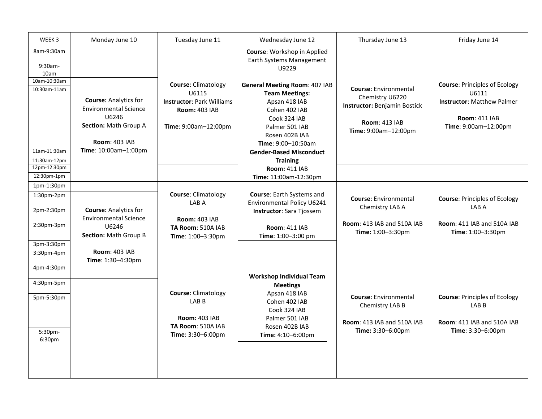| WEEK 3                                                                    | Monday June 10                                                                                                         | Tuesday June 11                                                                                                         | Wednesday June 12                                                                                                                                                                                                                             | Thursday June 13                                                                                                         | Friday June 14                                                                                                                     |
|---------------------------------------------------------------------------|------------------------------------------------------------------------------------------------------------------------|-------------------------------------------------------------------------------------------------------------------------|-----------------------------------------------------------------------------------------------------------------------------------------------------------------------------------------------------------------------------------------------|--------------------------------------------------------------------------------------------------------------------------|------------------------------------------------------------------------------------------------------------------------------------|
| 8am-9:30am<br>9:30am-<br>10am<br>10am-10:30am<br>10:30am-11am             | <b>Course: Analytics for</b><br><b>Environmental Science</b><br>U6246<br>Section: Math Group A<br><b>Room: 403 IAB</b> | <b>Course: Climatology</b><br>U6115<br><b>Instructor: Park Williams</b><br><b>Room: 403 IAB</b><br>Time: 9:00am-12:00pm | Course: Workshop in Applied<br>Earth Systems Management<br>U9229<br><b>General Meeting Room: 407 IAB</b><br><b>Team Meetings:</b><br>Apsan 418 IAB<br>Cohen 402 IAB<br>Cook 324 IAB<br>Palmer 501 IAB<br>Rosen 402B IAB<br>Time: 9:00-10:50am | Course: Environmental<br>Chemistry U6220<br>Instructor: Benjamin Bostick<br><b>Room: 413 IAB</b><br>Time: 9:00am-12:00pm | <b>Course: Principles of Ecology</b><br>U6111<br><b>Instructor: Matthew Palmer</b><br><b>Room: 411 IAB</b><br>Time: 9:00am-12:00pm |
| 11am-11:30am<br>11:30am-12pm                                              | Time: 10:00am-1:00pm                                                                                                   |                                                                                                                         | <b>Gender-Based Misconduct</b>                                                                                                                                                                                                                |                                                                                                                          |                                                                                                                                    |
| 12pm-12:30pm<br>12:30pm-1pm                                               |                                                                                                                        |                                                                                                                         | <b>Training</b><br><b>Room: 411 IAB</b><br>Time: 11:00am-12:30pm                                                                                                                                                                              |                                                                                                                          |                                                                                                                                    |
| 1pm-1:30pm<br>$1:30pm-2pm$<br>2pm-2:30pm<br>2:30pm-3pm<br>3pm-3:30pm      | <b>Course: Analytics for</b><br><b>Environmental Science</b><br>U6246<br>Section: Math Group B                         | Course: Climatology<br>LAB A<br><b>Room: 403 IAB</b><br>TA Room: 510A IAB<br>Time: 1:00-3:30pm                          | Course: Earth Systems and<br>Environmental Policy U6241<br>Instructor: Sara Tjossem<br><b>Room: 411 IAB</b><br>Time: 1:00-3:00 pm                                                                                                             | <b>Course: Environmental</b><br>Chemistry LAB A<br><b>Room: 413 IAB and 510A IAB</b><br>Time: 1:00-3:30pm                | <b>Course: Principles of Ecology</b><br>LAB A<br>Room: 411 IAB and 510A IAB<br>Time: 1:00-3:30pm                                   |
| 3:30pm-4pm<br>4pm-4:30pm<br>4:30pm-5pm<br>5pm-5:30pm<br>5:30pm-<br>6:30pm | <b>Room: 403 IAB</b><br>Time: 1:30-4:30pm                                                                              | <b>Course: Climatology</b><br>LAB <sub>B</sub><br><b>Room: 403 IAB</b><br>TA Room: 510A IAB<br>Time: 3:30-6:00pm        | <b>Workshop Individual Team</b><br><b>Meetings</b><br>Apsan 418 IAB<br>Cohen 402 IAB<br>Cook 324 IAB<br>Palmer 501 IAB<br>Rosen 402B IAB<br>Time: 4:10-6:00pm                                                                                 | <b>Course: Environmental</b><br>Chemistry LAB B<br><b>Room: 413 IAB and 510A IAB</b><br>Time: 3:30-6:00pm                | <b>Course: Principles of Ecology</b><br>LAB <sub>B</sub><br>Room: 411 IAB and 510A IAB<br>Time: 3:30-6:00pm                        |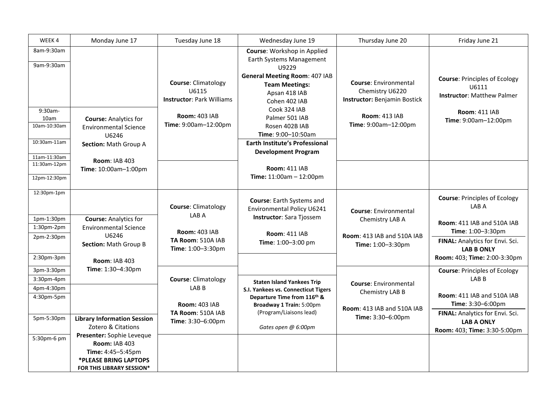| WEEK4                                                                          | Monday June 17                                                                                                                                              | Tuesday June 18                                                                                                         | Wednesday June 19                                                                                                                                                                                                                                                                                                    | Thursday June 20                                                                                                                | Friday June 21                                                                                                                             |
|--------------------------------------------------------------------------------|-------------------------------------------------------------------------------------------------------------------------------------------------------------|-------------------------------------------------------------------------------------------------------------------------|----------------------------------------------------------------------------------------------------------------------------------------------------------------------------------------------------------------------------------------------------------------------------------------------------------------------|---------------------------------------------------------------------------------------------------------------------------------|--------------------------------------------------------------------------------------------------------------------------------------------|
| 8am-9:30am<br>9am-9:30am<br>$9:30am -$<br>10am<br>10am-10:30am<br>10:30am-11am | <b>Course: Analytics for</b><br><b>Environmental Science</b><br>U6246<br>Section: Math Group A                                                              | <b>Course: Climatology</b><br>U6115<br><b>Instructor: Park Williams</b><br><b>Room: 403 IAB</b><br>Time: 9:00am-12:00pm | Course: Workshop in Applied<br>Earth Systems Management<br>U9229<br><b>General Meeting Room: 407 IAB</b><br><b>Team Meetings:</b><br>Apsan 418 IAB<br>Cohen 402 IAB<br>Cook 324 IAB<br>Palmer 501 IAB<br>Rosen 402B IAB<br>Time: 9:00-10:50am<br><b>Earth Institute's Professional</b><br><b>Development Program</b> | <b>Course: Environmental</b><br>Chemistry U6220<br>Instructor: Benjamin Bostick<br><b>Room: 413 IAB</b><br>Time: 9:00am-12:00pm | <b>Course: Principles of Ecology</b><br>U6111<br><b>Instructor: Matthew Palmer</b><br><b>Room: 411 IAB</b><br>Time: 9:00am-12:00pm         |
| 11am-11:30am<br>11:30am-12pm<br>12pm-12:30pm                                   | <b>Room: IAB 403</b><br>Time: 10:00am-1:00pm                                                                                                                |                                                                                                                         | <b>Room: 411 IAB</b><br>Time: 11:00am - 12:00pm                                                                                                                                                                                                                                                                      |                                                                                                                                 |                                                                                                                                            |
| 12:30pm-1pm<br>1pm-1:30pm<br>1:30pm-2pm<br>2pm-2:30pm                          | <b>Course: Analytics for</b><br><b>Environmental Science</b><br>U6246                                                                                       | <b>Course: Climatology</b><br>LAB A<br><b>Room: 403 IAB</b><br>TA Room: 510A IAB                                        | Course: Earth Systems and<br>Environmental Policy U6241<br>Instructor: Sara Tjossem<br><b>Room: 411 IAB</b>                                                                                                                                                                                                          | <b>Course: Environmental</b><br>Chemistry LAB A<br>Room: 413 IAB and 510A IAB                                                   | <b>Course: Principles of Ecology</b><br>LAB A<br><b>Room: 411 IAB and 510A IAB</b><br>Time: 1:00-3:30pm<br>FINAL: Analytics for Envi. Sci. |
| 2:30pm-3pm                                                                     | Section: Math Group B<br><b>Room: IAB 403</b>                                                                                                               | Time: 1:00-3:30pm                                                                                                       | Time: 1:00-3:00 pm                                                                                                                                                                                                                                                                                                   | Time: 1:00-3:30pm                                                                                                               | <b>LAB B ONLY</b><br>Room: 403; Time: 2:00-3:30pm                                                                                          |
| 3pm-3:30pm<br>3:30pm-4pm<br>4pm-4:30pm<br>4:30pm-5pm                           | Time: 1:30-4:30pm                                                                                                                                           | <b>Course: Climatology</b><br>LAB B<br><b>Room: 403 IAB</b>                                                             | <b>Staten Island Yankees Trip</b><br>S.I. Yankees vs. Connecticut Tigers<br>Departure Time from 116th &<br>Broadway 1 Train: 5:00pm                                                                                                                                                                                  | <b>Course:</b> Environmental<br>Chemistry LAB B<br>Room: 413 IAB and 510A IAB                                                   | <b>Course: Principles of Ecology</b><br>LAB <sub>B</sub><br><b>Room: 411 IAB and 510A IAB</b><br>Time: 3:30-6:00pm                         |
| 5pm-5:30pm<br>5:30pm-6 pm                                                      | <b>Library Information Session</b><br>Zotero & Citations<br>Presenter: Sophie Leveque<br><b>Room: IAB 403</b><br>Time: 4:45-5:45pm<br>*PLEASE BRING LAPTOPS | TA Room: 510A IAB<br>Time: 3:30-6:00pm                                                                                  | (Program/Liaisons lead)<br>Gates open @ 6:00pm                                                                                                                                                                                                                                                                       | Time: 3:30-6:00pm                                                                                                               | FINAL: Analytics for Envi. Sci.<br><b>LAB A ONLY</b><br>Room: 403; Time: 3:30-5:00pm                                                       |
|                                                                                | FOR THIS LIBRARY SESSION*                                                                                                                                   |                                                                                                                         |                                                                                                                                                                                                                                                                                                                      |                                                                                                                                 |                                                                                                                                            |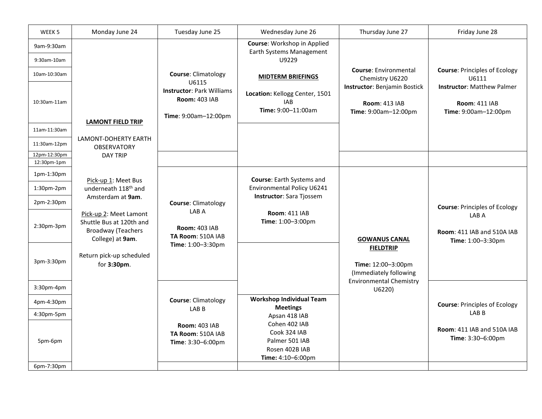| WEEK <sub>5</sub>           | Monday June 24                                                                                      | Tuesday June 25                                                                           | Wednesday June 26                                                                      | Thursday June 27                                                                    | Friday June 28                                                                    |
|-----------------------------|-----------------------------------------------------------------------------------------------------|-------------------------------------------------------------------------------------------|----------------------------------------------------------------------------------------|-------------------------------------------------------------------------------------|-----------------------------------------------------------------------------------|
| 9am-9:30am<br>9:30am-10am   |                                                                                                     |                                                                                           | Course: Workshop in Applied<br>Earth Systems Management<br>U9229                       |                                                                                     |                                                                                   |
| 10am-10:30am                |                                                                                                     | Course: Climatology                                                                       | <b>MIDTERM BRIEFINGS</b>                                                               | <b>Course: Environmental</b><br>Chemistry U6220                                     | <b>Course: Principles of Ecology</b><br>U6111                                     |
| 10:30am-11am                | <b>LAMONT FIELD TRIP</b>                                                                            | U6115<br><b>Instructor: Park Williams</b><br><b>Room: 403 IAB</b><br>Time: 9:00am-12:00pm | Location: Kellogg Center, 1501<br><b>IAB</b><br>Time: 9:00-11:00am                     | <b>Instructor: Benjamin Bostick</b><br><b>Room: 413 IAB</b><br>Time: 9:00am-12:00pm | <b>Instructor: Matthew Palmer</b><br><b>Room: 411 IAB</b><br>Time: 9:00am-12:00pm |
| 11am-11:30am                |                                                                                                     |                                                                                           |                                                                                        |                                                                                     |                                                                                   |
| 11:30am-12pm                | <b>LAMONT-DOHERTY EARTH</b><br><b>OBSERVATORY</b>                                                   |                                                                                           |                                                                                        |                                                                                     |                                                                                   |
| 12pm-12:30pm<br>12:30pm-1pm | <b>DAY TRIP</b>                                                                                     |                                                                                           |                                                                                        |                                                                                     |                                                                                   |
| 1pm-1:30pm                  | Pick-up 1: Meet Bus                                                                                 |                                                                                           | Course: Earth Systems and                                                              |                                                                                     |                                                                                   |
| 1:30pm-2pm                  | underneath 118 <sup>th</sup> and                                                                    |                                                                                           | Environmental Policy U6241                                                             |                                                                                     |                                                                                   |
| 2pm-2:30pm                  | Amsterdam at 9am.                                                                                   | <b>Course: Climatology</b>                                                                | <b>Instructor:</b> Sara Tjossem                                                        |                                                                                     | <b>Course: Principles of Ecology</b>                                              |
| 2:30pm-3pm                  | Pick-up 2: Meet Lamont<br>Shuttle Bus at 120th and<br><b>Broadway (Teachers</b><br>College) at 9am. | LAB A<br><b>Room: 403 IAB</b><br>TA Room: 510A IAB                                        | <b>Room: 411 IAB</b><br>Time: 1:00-3:00pm                                              | <b>GOWANUS CANAL</b>                                                                | LAB A<br><b>Room: 411 IAB and 510A IAB</b><br>Time: 1:00-3:30pm                   |
| 3pm-3:30pm                  | Return pick-up scheduled<br>for 3:30pm.                                                             | Time: 1:00-3:30pm                                                                         |                                                                                        | <b>FIELDTRIP</b><br>Time: 12:00-3:00pm<br>(Immediately following                    |                                                                                   |
| 3:30pm-4pm                  |                                                                                                     |                                                                                           |                                                                                        | <b>Environmental Chemistry</b><br>U6220)                                            |                                                                                   |
| 4pm-4:30pm                  |                                                                                                     | <b>Course: Climatology</b><br>LAB <sub>B</sub>                                            | <b>Workshop Individual Team</b><br><b>Meetings</b>                                     |                                                                                     | <b>Course: Principles of Ecology</b>                                              |
| 4:30pm-5pm                  |                                                                                                     |                                                                                           | Apsan 418 IAB                                                                          |                                                                                     | LAB <sub>B</sub>                                                                  |
| 5pm-6pm<br>6pm-7:30pm       |                                                                                                     | <b>Room: 403 IAB</b><br>TA Room: 510A IAB<br>Time: 3:30-6:00pm                            | Cohen 402 IAB<br>Cook 324 IAB<br>Palmer 501 IAB<br>Rosen 402B IAB<br>Time: 4:10-6:00pm |                                                                                     | Room: 411 IAB and 510A IAB<br>Time: 3:30-6:00pm                                   |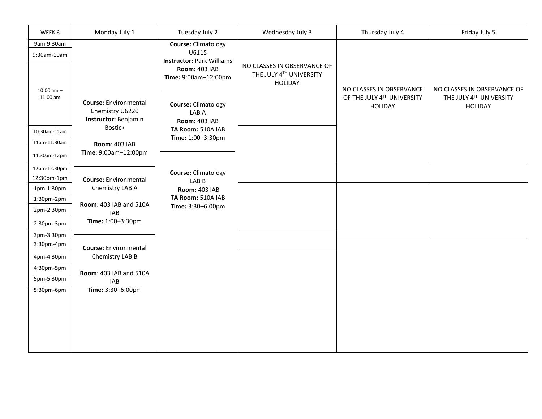| WEEK 6         | Monday July 1                                                                             | Tuesday July 2                                                                   | Wednesday July 3                                                         | Thursday July 4                              | Friday July 5                             |
|----------------|-------------------------------------------------------------------------------------------|----------------------------------------------------------------------------------|--------------------------------------------------------------------------|----------------------------------------------|-------------------------------------------|
| 9am-9:30am     |                                                                                           | <b>Course: Climatology</b>                                                       |                                                                          |                                              |                                           |
| 9:30am-10am    |                                                                                           | U6115                                                                            |                                                                          |                                              |                                           |
| $10:00$ am $-$ |                                                                                           | <b>Instructor: Park Williams</b><br><b>Room: 403 IAB</b><br>Time: 9:00am-12:00pm | NO CLASSES IN OBSERVANCE OF<br>THE JULY 4TH UNIVERSITY<br><b>HOLIDAY</b> | NO CLASSES IN OBSERVANCE                     | NO CLASSES IN OBSERVANCE OF               |
| $11:00$ am     | <b>Course:</b> Environmental<br>Chemistry U6220<br>Instructor: Benjamin<br><b>Bostick</b> | <b>Course: Climatology</b><br>LAB A<br><b>Room: 403 IAB</b>                      |                                                                          | OF THE JULY 4TH UNIVERSITY<br><b>HOLIDAY</b> | THE JULY 4TH UNIVERSITY<br><b>HOLIDAY</b> |
| 10:30am-11am   |                                                                                           | TA Room: 510A IAB                                                                |                                                                          |                                              |                                           |
| 11am-11:30am   | <b>Room: 403 IAB</b>                                                                      | Time: 1:00-3:30pm                                                                |                                                                          |                                              |                                           |
| 11:30am-12pm   | Time: 9:00am-12:00pm                                                                      |                                                                                  |                                                                          |                                              |                                           |
| 12pm-12:30pm   |                                                                                           | <b>Course: Climatology</b>                                                       |                                                                          |                                              |                                           |
| 12:30pm-1pm    | <b>Course: Environmental</b>                                                              | LABB                                                                             |                                                                          |                                              |                                           |
| 1pm-1:30pm     | Chemistry LAB A                                                                           | <b>Room: 403 IAB</b>                                                             |                                                                          |                                              |                                           |
| 1:30pm-2pm     | Room: 403 IAB and 510A                                                                    | TA Room: 510A IAB                                                                |                                                                          |                                              |                                           |
| 2pm-2:30pm     | <b>IAB</b>                                                                                | Time: 3:30-6:00pm                                                                |                                                                          |                                              |                                           |
| 2:30pm-3pm     | Time: 1:00-3:30pm                                                                         |                                                                                  |                                                                          |                                              |                                           |
| 3pm-3:30pm     |                                                                                           |                                                                                  |                                                                          |                                              |                                           |
| 3:30pm-4pm     | <b>Course:</b> Environmental                                                              |                                                                                  |                                                                          |                                              |                                           |
| 4pm-4:30pm     | Chemistry LAB B                                                                           |                                                                                  |                                                                          |                                              |                                           |
| 4:30pm-5pm     | Room: 403 IAB and 510A                                                                    |                                                                                  |                                                                          |                                              |                                           |
| 5pm-5:30pm     | <b>IAB</b>                                                                                |                                                                                  |                                                                          |                                              |                                           |
| 5:30pm-6pm     | Time: 3:30-6:00pm                                                                         |                                                                                  |                                                                          |                                              |                                           |
|                |                                                                                           |                                                                                  |                                                                          |                                              |                                           |
|                |                                                                                           |                                                                                  |                                                                          |                                              |                                           |
|                |                                                                                           |                                                                                  |                                                                          |                                              |                                           |
|                |                                                                                           |                                                                                  |                                                                          |                                              |                                           |
|                |                                                                                           |                                                                                  |                                                                          |                                              |                                           |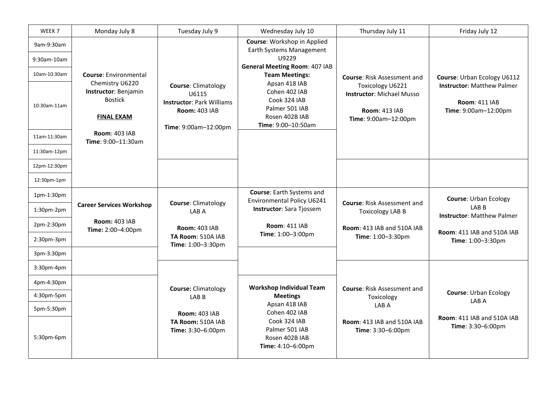| WEEK <sub>7</sub>         | Monday July 8                                                                  | Tuesday July 9                                                                                                          | Wednesday July 10                                                                                        | Thursday July 11                                                                                     | Friday July 12                                                                    |
|---------------------------|--------------------------------------------------------------------------------|-------------------------------------------------------------------------------------------------------------------------|----------------------------------------------------------------------------------------------------------|------------------------------------------------------------------------------------------------------|-----------------------------------------------------------------------------------|
| 9am-9:30am<br>9:30am-10am |                                                                                |                                                                                                                         | Course: Workshop in Applied<br>Earth Systems Management<br>U9229<br><b>General Meeting Room: 407 IAB</b> |                                                                                                      |                                                                                   |
| 10am-10:30am              | <b>Course: Environmental</b>                                                   |                                                                                                                         | <b>Team Meetings:</b>                                                                                    | <b>Course: Risk Assessment and</b>                                                                   | Course: Urban Ecology U6112                                                       |
| 10:30am-11am              | Chemistry U6220<br>Instructor: Benjamin<br><b>Bostick</b><br><b>FINAL EXAM</b> | <b>Course: Climatology</b><br>U6115<br><b>Instructor: Park Williams</b><br><b>Room: 403 IAB</b><br>Time: 9:00am-12:00pm | Apsan 418 IAB<br>Cohen 402 IAB<br>Cook 324 IAB<br>Palmer 501 IAB<br>Rosen 402B IAB<br>Time: 9:00-10:50am | Toxicology U6221<br><b>Instructor: Michael Musso</b><br><b>Room: 413 IAB</b><br>Time: 9:00am-12:00pm | <b>Instructor: Matthew Palmer</b><br><b>Room: 411 IAB</b><br>Time: 9:00am-12:00pm |
| 11am-11:30am              | <b>Room: 403 IAB</b><br>Time: 9:00-11:30am                                     |                                                                                                                         |                                                                                                          |                                                                                                      |                                                                                   |
| 11:30am-12pm              |                                                                                |                                                                                                                         |                                                                                                          |                                                                                                      |                                                                                   |
| 12pm-12:30pm              |                                                                                |                                                                                                                         |                                                                                                          |                                                                                                      |                                                                                   |
| 12:30pm-1pm               |                                                                                |                                                                                                                         |                                                                                                          |                                                                                                      |                                                                                   |
| $1pm-1:30pm$              |                                                                                |                                                                                                                         | Course: Earth Systems and<br>Environmental Policy U6241                                                  |                                                                                                      | <b>Course: Urban Ecology</b>                                                      |
| 1:30pm-2pm                | <b>Career Services Workshop</b>                                                | <b>Course: Climatology</b><br>LAB A                                                                                     | Instructor: Sara Tjossem                                                                                 | <b>Course: Risk Assessment and</b><br><b>Toxicology LAB B</b>                                        | LAB <sub>B</sub><br><b>Instructor: Matthew Palmer</b>                             |
| 2pm-2:30pm                | <b>Room: 403 IAB</b><br>Time: 2:00-4:00pm                                      | <b>Room: 403 IAB</b>                                                                                                    | <b>Room: 411 IAB</b>                                                                                     | <b>Room: 413 IAB and 510A IAB</b>                                                                    | <b>Room: 411 IAB and 510A IAB</b>                                                 |
| $2:30$ pm- $3$ pm         |                                                                                | TA Room: 510A IAB<br>Time: 1:00-3:30pm                                                                                  | Time: 1:00-3:00pm                                                                                        | Time: 1:00-3:30pm                                                                                    | Time: 1:00-3:30pm                                                                 |
| 3pm-3:30pm                |                                                                                |                                                                                                                         |                                                                                                          |                                                                                                      |                                                                                   |
| $3:30$ pm-4pm             |                                                                                |                                                                                                                         |                                                                                                          |                                                                                                      |                                                                                   |
| 4pm-4:30pm                |                                                                                | <b>Course: Climatology</b>                                                                                              | <b>Workshop Individual Team</b>                                                                          | <b>Course: Risk Assessment and</b>                                                                   |                                                                                   |
| 4:30pm-5pm                |                                                                                | LAB <sub>B</sub>                                                                                                        | <b>Meetings</b>                                                                                          | Toxicology                                                                                           | <b>Course: Urban Ecology</b><br>LAB A                                             |
| 5pm-5:30pm                |                                                                                | <b>Room: 403 IAB</b>                                                                                                    | Apsan 418 IAB<br>Cohen 402 IAB                                                                           | LAB A                                                                                                |                                                                                   |
| 5:30pm-6pm                |                                                                                | TA Room: 510A IAB<br>Time: 3:30-6:00pm                                                                                  | Cook 324 IAB<br>Palmer 501 IAB<br>Rosen 402B IAB<br>Time: 4:10-6:00pm                                    | Room: 413 IAB and 510A IAB<br>Time: 3:30-6:00pm                                                      | <b>Room: 411 IAB and 510A IAB</b><br>Time: 3:30-6:00pm                            |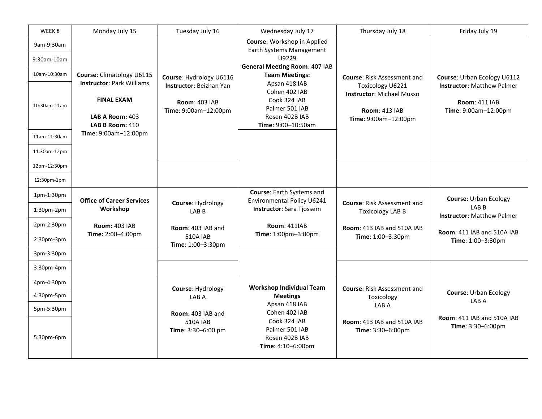| WEEK 8                    | Monday July 15                                                                                     | Tuesday July 16                                                         | Wednesday July 17                                                                                        | Thursday July 18                                                                                     | Friday July 19                                                                    |
|---------------------------|----------------------------------------------------------------------------------------------------|-------------------------------------------------------------------------|----------------------------------------------------------------------------------------------------------|------------------------------------------------------------------------------------------------------|-----------------------------------------------------------------------------------|
| 9am-9:30am<br>9:30am-10am |                                                                                                    |                                                                         | Course: Workshop in Applied<br>Earth Systems Management<br>U9229<br><b>General Meeting Room: 407 IAB</b> |                                                                                                      |                                                                                   |
| 10am-10:30am              | Course: Climatology U6115                                                                          | Course: Hydrology U6116                                                 | <b>Team Meetings:</b>                                                                                    | <b>Course: Risk Assessment and</b>                                                                   | Course: Urban Ecology U6112                                                       |
| 10:30am-11am              | <b>Instructor: Park Williams</b><br><b>FINAL EXAM</b><br><b>LAB A Room: 403</b><br>LAB B Room: 410 | Instructor: Beizhan Yan<br><b>Room: 403 IAB</b><br>Time: 9:00am-12:00pm | Apsan 418 IAB<br>Cohen 402 IAB<br>Cook 324 IAB<br>Palmer 501 IAB<br>Rosen 402B IAB<br>Time: 9:00-10:50am | Toxicology U6221<br><b>Instructor: Michael Musso</b><br><b>Room: 413 IAB</b><br>Time: 9:00am-12:00pm | <b>Instructor: Matthew Palmer</b><br><b>Room: 411 IAB</b><br>Time: 9:00am-12:00pm |
| 11am-11:30am              | Time: 9:00am-12:00pm                                                                               |                                                                         |                                                                                                          |                                                                                                      |                                                                                   |
| 11:30am-12pm              |                                                                                                    |                                                                         |                                                                                                          |                                                                                                      |                                                                                   |
| 12pm-12:30pm              |                                                                                                    |                                                                         |                                                                                                          |                                                                                                      |                                                                                   |
| 12:30pm-1pm               |                                                                                                    |                                                                         |                                                                                                          |                                                                                                      |                                                                                   |
| 1pm-1:30pm                | <b>Office of Career Services</b>                                                                   |                                                                         | Course: Earth Systems and<br>Environmental Policy U6241                                                  |                                                                                                      | <b>Course: Urban Ecology</b>                                                      |
| 1:30pm-2pm                | Workshop                                                                                           | Course: Hydrology<br>LAB <sub>B</sub>                                   | Instructor: Sara Tjossem                                                                                 | <b>Course: Risk Assessment and</b><br><b>Toxicology LAB B</b>                                        | LAB <sub>B</sub><br><b>Instructor: Matthew Palmer</b>                             |
| 2pm-2:30pm                | <b>Room: 403 IAB</b>                                                                               | Room: 403 IAB and                                                       | <b>Room: 411IAB</b>                                                                                      | <b>Room: 413 IAB and 510A IAB</b>                                                                    | <b>Room: 411 IAB and 510A IAB</b>                                                 |
| $2:30$ pm- $3$ pm         | Time: 2:00-4:00pm                                                                                  | <b>510A IAB</b><br>Time: 1:00-3:30pm                                    | Time: 1:00pm-3:00pm                                                                                      | Time: 1:00-3:30pm                                                                                    | Time: 1:00-3:30pm                                                                 |
| 3pm-3:30pm                |                                                                                                    |                                                                         |                                                                                                          |                                                                                                      |                                                                                   |
| $3:30$ pm-4pm             |                                                                                                    |                                                                         |                                                                                                          |                                                                                                      |                                                                                   |
| 4pm-4:30pm                |                                                                                                    | Course: Hydrology                                                       | <b>Workshop Individual Team</b>                                                                          | <b>Course: Risk Assessment and</b>                                                                   |                                                                                   |
| 4:30pm-5pm                |                                                                                                    | LAB A                                                                   | <b>Meetings</b>                                                                                          | Toxicology                                                                                           | <b>Course: Urban Ecology</b><br>LAB A                                             |
| 5pm-5:30pm                |                                                                                                    | Room: 403 IAB and                                                       | Apsan 418 IAB<br>Cohen 402 IAB                                                                           | LAB A                                                                                                |                                                                                   |
| 5:30pm-6pm                |                                                                                                    | <b>510A IAB</b><br>Time: 3:30-6:00 pm                                   | Cook 324 IAB<br>Palmer 501 IAB<br>Rosen 402B IAB<br>Time: 4:10-6:00pm                                    | Room: 413 IAB and 510A IAB<br>Time: 3:30-6:00pm                                                      | Room: 411 IAB and 510A IAB<br>Time: 3:30-6:00pm                                   |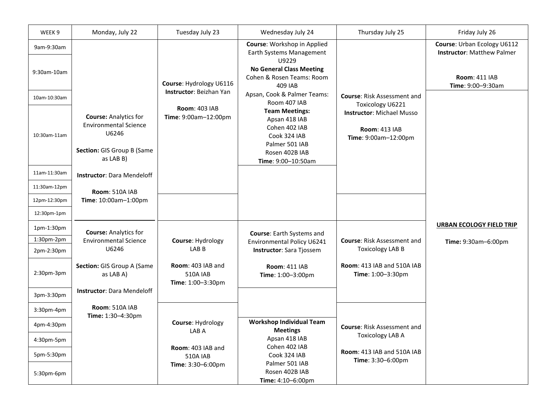| WEEK <sub>9</sub> | Monday, July 22                                                                                                  | Tuesday July 23                                           | Wednesday July 24                                                                                                                 | Thursday July 25                                                                 | Friday July 26                                                   |
|-------------------|------------------------------------------------------------------------------------------------------------------|-----------------------------------------------------------|-----------------------------------------------------------------------------------------------------------------------------------|----------------------------------------------------------------------------------|------------------------------------------------------------------|
| 9am-9:30am        |                                                                                                                  |                                                           | Course: Workshop in Applied<br>Earth Systems Management<br>U9229                                                                  |                                                                                  | Course: Urban Ecology U6112<br><b>Instructor: Matthew Palmer</b> |
| 9:30am-10am       |                                                                                                                  | Course: Hydrology U6116                                   | <b>No General Class Meeting</b><br>Cohen & Rosen Teams: Room<br>409 IAB                                                           |                                                                                  | <b>Room: 411 IAB</b><br>Time: 9:00-9:30am                        |
| 10am-10:30am      |                                                                                                                  | <b>Instructor: Beizhan Yan</b>                            | Apsan, Cook & Palmer Teams:<br>Room 407 IAB                                                                                       | <b>Course: Risk Assessment and</b><br>Toxicology U6221                           |                                                                  |
| 10:30am-11am      | <b>Course: Analytics for</b><br><b>Environmental Science</b><br>U6246<br>Section: GIS Group B (Same<br>as LAB B) | <b>Room: 403 IAB</b><br>Time: 9:00am-12:00pm              | <b>Team Meetings:</b><br>Apsan 418 IAB<br>Cohen 402 IAB<br>Cook 324 IAB<br>Palmer 501 IAB<br>Rosen 402B IAB<br>Time: 9:00-10:50am | <b>Instructor: Michael Musso</b><br><b>Room: 413 IAB</b><br>Time: 9:00am-12:00pm |                                                                  |
| 11am-11:30am      | <b>Instructor: Dara Mendeloff</b>                                                                                |                                                           |                                                                                                                                   |                                                                                  |                                                                  |
| 11:30am-12pm      | Room: 510A IAB                                                                                                   |                                                           |                                                                                                                                   |                                                                                  |                                                                  |
| 12pm-12:30pm      | Time: 10:00am-1:00pm                                                                                             |                                                           |                                                                                                                                   |                                                                                  |                                                                  |
| 12:30pm-1pm       |                                                                                                                  |                                                           |                                                                                                                                   |                                                                                  |                                                                  |
| 1pm-1:30pm        | <b>Course: Analytics for</b>                                                                                     |                                                           | Course: Earth Systems and                                                                                                         |                                                                                  | <b>URBAN ECOLOGY FIELD TRIP</b>                                  |
| 1:30pm-2pm        | <b>Environmental Science</b>                                                                                     | Course: Hydrology                                         | Environmental Policy U6241                                                                                                        | <b>Course: Risk Assessment and</b>                                               | Time: 9:30am-6:00pm                                              |
| 2pm-2:30pm        | U6246                                                                                                            | LAB <sub>B</sub>                                          | Instructor: Sara Tjossem                                                                                                          | <b>Toxicology LAB B</b>                                                          |                                                                  |
| 2:30pm-3pm        | Section: GIS Group A (Same<br>as LAB A)                                                                          | Room: 403 IAB and<br><b>510A IAB</b><br>Time: 1:00-3:30pm | <b>Room: 411 IAB</b><br>Time: 1:00-3:00pm                                                                                         | Room: 413 IAB and 510A IAB<br>Time: 1:00-3:30pm                                  |                                                                  |
| 3pm-3:30pm        | <b>Instructor: Dara Mendeloff</b>                                                                                |                                                           |                                                                                                                                   |                                                                                  |                                                                  |
| 3:30pm-4pm        | Room: 510A IAB<br>Time: 1:30-4:30pm                                                                              |                                                           |                                                                                                                                   |                                                                                  |                                                                  |
| 4pm-4:30pm        |                                                                                                                  | Course: Hydrology<br>LAB A                                | <b>Workshop Individual Team</b><br><b>Meetings</b>                                                                                | <b>Course: Risk Assessment and</b>                                               |                                                                  |
| 4:30pm-5pm        |                                                                                                                  |                                                           | Apsan 418 IAB                                                                                                                     | <b>Toxicology LAB A</b>                                                          |                                                                  |
| 5pm-5:30pm        |                                                                                                                  | Room: 403 IAB and<br><b>510A IAB</b>                      | Cohen 402 IAB<br>Cook 324 IAB                                                                                                     | Room: 413 IAB and 510A IAB                                                       |                                                                  |
| 5:30pm-6pm        |                                                                                                                  | Time: 3:30-6:00pm                                         | Palmer 501 IAB<br>Rosen 402B IAB<br>Time: 4:10-6:00pm                                                                             | Time: 3:30-6:00pm                                                                |                                                                  |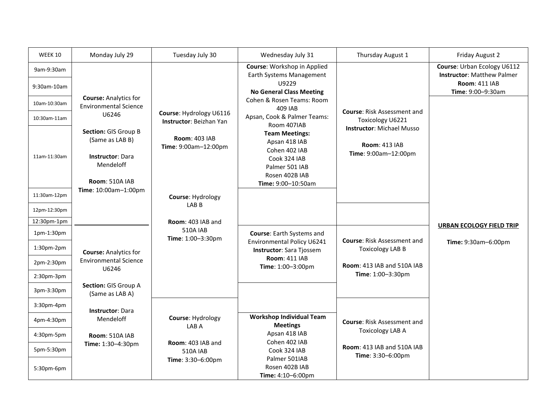| <b>WEEK 10</b>            | Monday July 29                                                                                           | Tuesday July 30                                    | Wednesday July 31                                                                                                                 | Thursday August 1                                                                | Friday August 2                                                                                               |
|---------------------------|----------------------------------------------------------------------------------------------------------|----------------------------------------------------|-----------------------------------------------------------------------------------------------------------------------------------|----------------------------------------------------------------------------------|---------------------------------------------------------------------------------------------------------------|
| 9am-9:30am<br>9:30am-10am |                                                                                                          |                                                    | Course: Workshop in Applied<br>Earth Systems Management<br>U9229<br><b>No General Class Meeting</b>                               |                                                                                  | Course: Urban Ecology U6112<br><b>Instructor: Matthew Palmer</b><br><b>Room: 411 IAB</b><br>Time: 9:00-9:30am |
| 10am-10:30am              | <b>Course: Analytics for</b><br><b>Environmental Science</b>                                             |                                                    | Cohen & Rosen Teams: Room<br>409 IAB                                                                                              | <b>Course: Risk Assessment and</b>                                               |                                                                                                               |
| 10:30am-11am              | U6246                                                                                                    | Course: Hydrology U6116<br>Instructor: Beizhan Yan | Apsan, Cook & Palmer Teams:<br>Room 407IAB                                                                                        | Toxicology U6221                                                                 |                                                                                                               |
| 11am-11:30am              | Section: GIS Group B<br>(Same as LAB B)<br><b>Instructor: Dara</b><br>Mendeloff<br><b>Room: 510A IAB</b> | <b>Room: 403 IAB</b><br>Time: 9:00am-12:00pm       | <b>Team Meetings:</b><br>Apsan 418 IAB<br>Cohen 402 IAB<br>Cook 324 IAB<br>Palmer 501 IAB<br>Rosen 402B IAB<br>Time: 9:00-10:50am | <b>Instructor: Michael Musso</b><br><b>Room: 413 IAB</b><br>Time: 9:00am-12:00pm |                                                                                                               |
| 11:30am-12pm              | Time: 10:00am-1:00pm                                                                                     | Course: Hydrology                                  |                                                                                                                                   |                                                                                  |                                                                                                               |
| 12pm-12:30pm              |                                                                                                          | LAB B                                              |                                                                                                                                   |                                                                                  |                                                                                                               |
| 12:30pm-1pm               |                                                                                                          | Room: 403 IAB and                                  |                                                                                                                                   |                                                                                  |                                                                                                               |
| 1pm-1:30pm                |                                                                                                          | <b>510A IAB</b><br>Time: 1:00-3:30pm               | Course: Earth Systems and                                                                                                         | <b>Course: Risk Assessment and</b>                                               | <b>URBAN ECOLOGY FIELD TRIP</b>                                                                               |
| 1:30pm-2pm                | <b>Course: Analytics for</b>                                                                             |                                                    | Environmental Policy U6241<br>Instructor: Sara Tjossem                                                                            | <b>Toxicology LAB B</b>                                                          | Time: 9:30am-6:00pm                                                                                           |
| 2pm-2:30pm                | <b>Environmental Science</b><br>U6246                                                                    |                                                    | <b>Room: 411 IAB</b><br>Time: 1:00-3:00pm                                                                                         | <b>Room: 413 IAB and 510A IAB</b>                                                |                                                                                                               |
| 2:30pm-3pm                |                                                                                                          |                                                    |                                                                                                                                   | Time: 1:00-3:30pm                                                                |                                                                                                               |
| 3pm-3:30pm                | Section: GIS Group A<br>(Same as LAB A)                                                                  |                                                    |                                                                                                                                   |                                                                                  |                                                                                                               |
| 3:30pm-4pm                | <b>Instructor: Dara</b>                                                                                  |                                                    |                                                                                                                                   |                                                                                  |                                                                                                               |
| 4pm-4:30pm                | Mendeloff                                                                                                | Course: Hydrology<br>LAB A                         | <b>Workshop Individual Team</b><br><b>Meetings</b>                                                                                | <b>Course: Risk Assessment and</b>                                               |                                                                                                               |
| 4:30pm-5pm                | Room: 510A IAB                                                                                           |                                                    | Apsan 418 IAB                                                                                                                     | <b>Toxicology LAB A</b>                                                          |                                                                                                               |
| 5pm-5:30pm                | Time: 1:30-4:30pm                                                                                        | Room: 403 IAB and<br><b>510A IAB</b>               | Cohen 402 IAB<br>Cook 324 IAB<br>Palmer 501IAB                                                                                    | <b>Room: 413 IAB and 510A IAB</b><br>Time: 3:30-6:00pm                           |                                                                                                               |
| 5:30pm-6pm                |                                                                                                          | Time: 3:30-6:00pm                                  | Rosen 402B IAB<br>Time: 4:10-6:00pm                                                                                               |                                                                                  |                                                                                                               |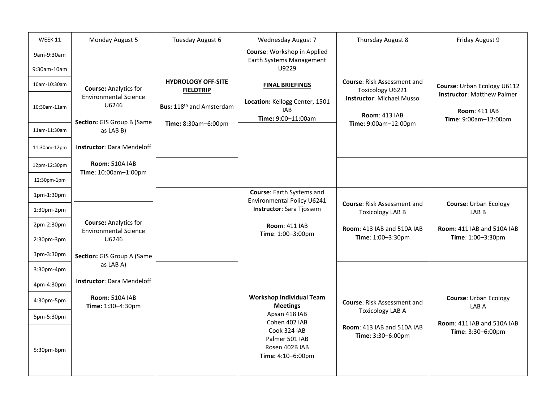| WEEK 11       | Monday August 5                                                     | Tuesday August 6                              | <b>Wednesday August 7</b>                                             | Thursday August 8                                             | Friday August 9                                                  |
|---------------|---------------------------------------------------------------------|-----------------------------------------------|-----------------------------------------------------------------------|---------------------------------------------------------------|------------------------------------------------------------------|
| 9am-9:30am    |                                                                     |                                               | Course: Workshop in Applied<br>Earth Systems Management               |                                                               |                                                                  |
| 9:30am-10am   |                                                                     |                                               | U9229                                                                 |                                                               |                                                                  |
| 10am-10:30am  | <b>Course: Analytics for</b>                                        | <b>HYDROLOGY OFF-SITE</b><br><b>FIELDTRIP</b> | <b>FINAL BRIEFINGS</b>                                                | <b>Course: Risk Assessment and</b><br>Toxicology U6221        | Course: Urban Ecology U6112<br><b>Instructor: Matthew Palmer</b> |
| 10:30am-11am  | <b>Environmental Science</b><br>U6246<br>Section: GIS Group B (Same | Bus: 118 <sup>th</sup> and Amsterdam          | Location: Kellogg Center, 1501<br><b>IAB</b><br>Time: 9:00-11:00am    | <b>Instructor: Michael Musso</b><br><b>Room: 413 IAB</b>      | <b>Room: 411 IAB</b><br>Time: 9:00am-12:00pm                     |
| 11am-11:30am  | as LAB B)                                                           | Time: 8:30am-6:00pm                           |                                                                       | Time: 9:00am-12:00pm                                          |                                                                  |
| 11:30am-12pm  | <b>Instructor: Dara Mendeloff</b>                                   |                                               |                                                                       |                                                               |                                                                  |
| 12pm-12:30pm  | Room: 510A IAB<br>Time: 10:00am-1:00pm                              |                                               |                                                                       |                                                               |                                                                  |
| 12:30pm-1pm   |                                                                     |                                               |                                                                       |                                                               |                                                                  |
| 1pm-1:30pm    |                                                                     |                                               | Course: Earth Systems and<br>Environmental Policy U6241               |                                                               |                                                                  |
| 1:30pm-2pm    |                                                                     |                                               | Instructor: Sara Tjossem                                              | <b>Course: Risk Assessment and</b><br><b>Toxicology LAB B</b> | <b>Course: Urban Ecology</b><br>LAB <sub>B</sub>                 |
| 2pm-2:30pm    | <b>Course: Analytics for</b><br><b>Environmental Science</b>        |                                               | <b>Room: 411 IAB</b><br>Time: 1:00-3:00pm                             | <b>Room: 413 IAB and 510A IAB</b>                             | <b>Room: 411 IAB and 510A IAB</b>                                |
| 2:30pm-3pm    | U6246                                                               |                                               |                                                                       | Time: 1:00-3:30pm                                             | Time: 1:00-3:30pm                                                |
| 3pm-3:30pm    | Section: GIS Group A (Same                                          |                                               |                                                                       |                                                               |                                                                  |
| $3:30$ pm-4pm | as LAB A)                                                           |                                               |                                                                       |                                                               |                                                                  |
| 4pm-4:30pm    | <b>Instructor: Dara Mendeloff</b>                                   |                                               |                                                                       |                                                               |                                                                  |
| 4:30pm-5pm    | <b>Room: 510A IAB</b><br>Time: 1:30-4:30pm                          |                                               | <b>Workshop Individual Team</b><br><b>Meetings</b>                    | <b>Course: Risk Assessment and</b>                            | <b>Course: Urban Ecology</b><br>LAB A                            |
| 5pm-5:30pm    |                                                                     |                                               | Apsan 418 IAB<br>Cohen 402 IAB                                        | <b>Toxicology LAB A</b>                                       |                                                                  |
| 5:30pm-6pm    |                                                                     |                                               | Cook 324 IAB<br>Palmer 501 IAB<br>Rosen 402B IAB<br>Time: 4:10-6:00pm | <b>Room: 413 IAB and 510A IAB</b><br>Time: 3:30-6:00pm        | Room: 411 IAB and 510A IAB<br>Time: 3:30-6:00pm                  |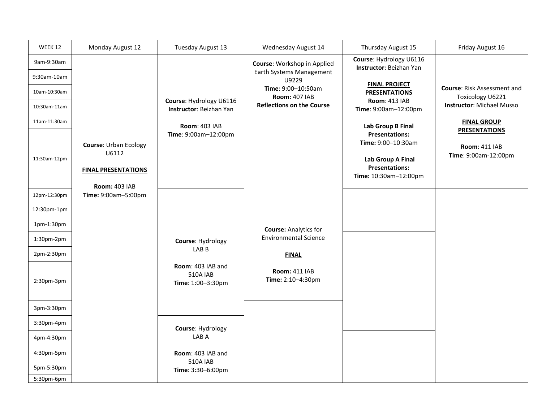| WEEK 12                     | Monday August 12                            | Tuesday August 13                                         | Wednesday August 14                        | Thursday August 15                                                  | Friday August 16                                       |
|-----------------------------|---------------------------------------------|-----------------------------------------------------------|--------------------------------------------|---------------------------------------------------------------------|--------------------------------------------------------|
| 9am-9:30am                  |                                             |                                                           | Course: Workshop in Applied                | Course: Hydrology U6116<br>Instructor: Beizhan Yan                  |                                                        |
| 9:30am-10am                 |                                             |                                                           | Earth Systems Management<br>U9229          |                                                                     |                                                        |
| 10am-10:30am                |                                             |                                                           | Time: 9:00-10:50am<br><b>Room: 407 IAB</b> | <b>FINAL PROJECT</b><br><b>PRESENTATIONS</b>                        | <b>Course: Risk Assessment and</b><br>Toxicology U6221 |
| 10:30am-11am                |                                             | Course: Hydrology U6116<br>Instructor: Beizhan Yan        | <b>Reflections on the Course</b>           | <b>Room: 413 IAB</b><br>Time: 9:00am-12:00pm                        | <b>Instructor: Michael Musso</b>                       |
| 11am-11:30am                |                                             | <b>Room: 403 IAB</b>                                      |                                            | <b>Lab Group B Final</b><br><b>Presentations:</b>                   | <b>FINAL GROUP</b><br><b>PRESENTATIONS</b>             |
|                             | <b>Course: Urban Ecology</b>                | Time: 9:00am-12:00pm                                      |                                            | Time: 9:00-10:30am                                                  | <b>Room: 411 IAB</b>                                   |
| 11:30am-12pm                | U6112<br><b>FINAL PRESENTATIONS</b>         |                                                           |                                            | Lab Group A Final<br><b>Presentations:</b><br>Time: 10:30am-12:00pm | Time: 9:00am-12:00pm                                   |
| 12pm-12:30pm                | <b>Room: 403 IAB</b><br>Time: 9:00am-5:00pm |                                                           |                                            |                                                                     |                                                        |
| 12:30pm-1pm                 |                                             |                                                           |                                            |                                                                     |                                                        |
| 1pm-1:30pm                  |                                             |                                                           | <b>Course: Analytics for</b>               |                                                                     |                                                        |
| $1:30$ pm- $2$ pm           |                                             | Course: Hydrology                                         | <b>Environmental Science</b>               |                                                                     |                                                        |
| 2pm-2:30pm                  |                                             |                                                           | LAB <sub>B</sub><br><b>FINAL</b>           |                                                                     |                                                        |
| $2:30$ pm- $3$ pm           |                                             | Room: 403 IAB and<br><b>510A IAB</b><br>Time: 1:00-3:30pm | <b>Room: 411 IAB</b><br>Time: 2:10-4:30pm  |                                                                     |                                                        |
| 3pm-3:30pm                  |                                             |                                                           |                                            |                                                                     |                                                        |
| 3:30pm-4pm                  |                                             | Course: Hydrology                                         |                                            |                                                                     |                                                        |
| 4pm-4:30pm                  |                                             | LAB A                                                     |                                            |                                                                     |                                                        |
| 4:30pm-5pm                  |                                             | Room: 403 IAB and<br><b>510A IAB</b>                      |                                            |                                                                     |                                                        |
| 5pm-5:30pm<br>$5:30$ pm-6pm |                                             | Time: 3:30-6:00pm                                         |                                            |                                                                     |                                                        |